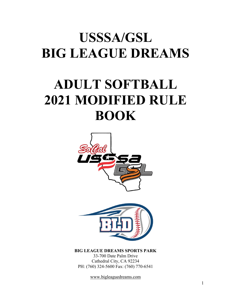# **USSSA/GSL BIG LEAGUE DREAMS**

# **ADULT SOFTBALL 2021 MODIFIED RULE BOOK**



**BIG LEAGUE DREAMS SPORTS PARK**

33-700 Date Palm Drive Cathedral City, CA 92234 PH: (760) 324-5600 Fax: (760) 770-6541

www.bigleaguedreams.com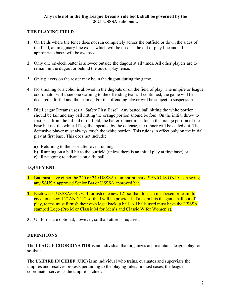#### **Any rule not in the Big League Dreams rule book shall be governed by the 2021 USSSA rule book.**

## **THE PLAYING FIELD**

- **1.** On fields where the fence does not run completely across the outfield or down the sides of the field, an imaginary line exists which will be used as the out of play line and all appropriate bases will be awarded.
- **2.** Only one on-deck batter is allowed outside the dugout at all times. All other players are to remain in the dugout or behind the out-of-play fence.
- **3.** Only players on the roster may be in the dugout during the game.
- **4.** No smoking or alcohol is allowed in the dugouts or on the field of play. The umpire or league coordinator will issue one warning to the offending team. If continued, the game will be declared a forfeit and the team and/or the offending player will be subject to suspension.
- **5.** Big League Dreams uses a "Safety First Base". Any batted ball hitting the white portion should be fair and any ball hitting the orange portion should be foul. On the initial throw to first base from the infield or outfield, the batter-runner must touch the orange portion of the base but not the white. If legally appealed by the defense, the runner will be called out. The defensive player must always touch the white portion. This rule is in effect only on the initial play at first base. This does not include:
	- **a)** Returning to the base after over-running,
	- **b)** Running on a ball hit to the outfield (unless there is an initial play at first base) or
	- **c)** Re-tagging to advance on a fly ball.

# **EQUIPMENT**

- **1.** Bat must have either the 220 or 240 USSSA thumbprint mark. SENIORS ONLY can swing any SSUSA approved Senior Bat or USSSA approved bat.
- **2.** Each week, USSSA/GSL will furnish one new 12" softball to each men's/senior team. In coed, one new 12" AND 11" softball will be provided. If a team hits the game ball out of play, teams must furnish their own legal backup ball. All balls used must have the USSSA stamped Logo (Pro M or Classic M for Men's and Classic W for Women's).
- **3.** Uniforms are optional; however, softball attire is required.

# **DEFINITIONS**

The **LEAGUE COORDINATOR** is an individual that organizes and maintains league play for softball.

The **UMPIRE IN CHIEF (UIC)** is an individual who trains, evaluates and supervises the umpires and resolves protests pertaining to the playing rules. In most cases, the league coordinator serves as the umpire in chief.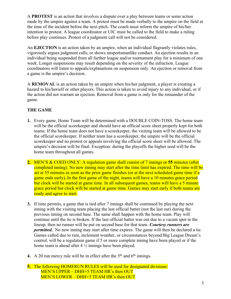A **PROTEST** is an action that involves a dispute over a play between teams or some action made by the umpire against a team. A protest must be made verbally to the umpire on the field at the time of the incident before the next pitch. The coach must inform the umpire of his/her intention to protest. A league coordinator or UIC must be called to the field to make a ruling before play continues. Protest of a judgment call will not be considered.

An **EJECTION** is an action taken by an umpire, when an individual flagrantly violates rules, vigorously argues judgment calls, or shows unsportsmanlike conduct. An ejection results in an individual being suspended from all further league and/or tournament play for a minimum of one week. Longer suspensions may result depending on the severity of the infraction. League coordinators will listen to appeals/explanations on suspension only. An ejection or removal from a game is the umpire's decision.

A **REMOVAL** is an action taken by an umpire when his/her judgment, a player is creating a hazard to his/herself or other players. This action is taken to avoid injury to any individual, or if the action did not warrant an ejection. Removal from a game is only for the remainder of the game.

# **THE GAME**

- **1.** Every game, Home Team will be determined with a DOUBLE COIN-TOSS. The home team will be the official scorekeeper and should have an official score sheet properly kept for both teams. If the home team does not have a scorekeeper, the visiting team will be allowed to be the official scorekeeper. If neither team has a scorekeeper, the umpire will be the official scorekeeper and no protest or appeals involving the official score sheet will be allowed. The umpire's decision will be final. Exception: during the playoffs the higher seed will be the home team throughout all games.
- **2.** MEN'S & COED ONLY: A regulation game shall consist of 7 innings or **55** minutes (after completed inning). No new inning may start after the time limit has expired. The time will be set at 55 minutes as soon as the prior game finishes (or at the next scheduled game time if a game ends early)**.** In the first game of the night, teams will have a 10 minutes grace period but clock will be started at game time. In all subsequent games, teams will have a 5 minute grace period but clock will be started at game time. Games may start early if both teams are ready and agree to start.
- **3.** If time permits, a game that is tied after 7 innings shall be continued by playing the next inning with the visiting team placing the last official batter (not the last out) during the previous inning on second base. The same shall happen with the home team. Play will continue until the tie is broken. If the last official batter was out due to a vacant spot in the lineup, then no runner will be put on second base for that team. *Courtesy runners are permitted.* No new inning may start after time expires. The game will then be declared a tie. Games called due to rain, inclement weather, or circumstances beyond Big League Dream's control, will be a regulation game if 5 or more complete inning have been played or if the home team is ahead after  $4\frac{1}{2}$  innings have been played.
- **4.** A 20 run mercy rule will be in effect after the  $5<sup>th</sup>$  and  $6<sup>th</sup>$  innings.
- **5.** The following HOMERUN RULES will be used for designated divisions: MEN'S UPPER – DHH+5 TEAM HR's then OUT MEN'S LOWER – DHH+3 TEAM HR's then OUT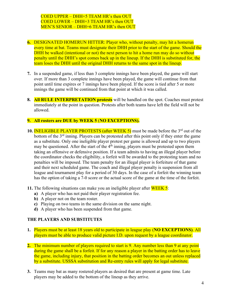COED UPPER – DHH+5 TEAM HR's then OUT COED LOWER – DHH+3 TEAM HR's then OUT MEN'S SENIOR – DHH+6 TEAM HR's then OUT

- **6.** DESIGNATED HOMERUN HITTER: Player who, without penalty, may hit a homerun every time at bat. Teams must designate their DHH prior to the start of the game. Should the DHH be walked (intentional or not) the next person to hit a home run may do so without penalty until the DHH's spot comes back up in the lineup. If the DHH is substituted for, the team loses the DHH until the original DHH returns to the same spot in the lineup.
- **7.** In a suspended game, if less than 3 complete innings have been played, the game will start over. If more than 3 complete innings have been played, the game will continue from that point until time expires or 7 innings have been played. If the score is tied after 5 or more innings the game will be continued from that point at which it was called.
- **8. All RULE INTERPRETATION protests** will be handled on the spot. Coaches must protest immediately at the point in question. Protests after both teams have left the field will not be allowed.

#### **9. All rosters are DUE by WEEK 5** (**NO EXCEPTIONS).**

- **10.** INELIGIBLE PLAYER PROTESTS (after WEEK 5) must be made before the 3<sup>rd</sup> out of the bottom of the 3<sup>rd</sup> inning. Players can be protested after this point only if they enter the game as a substitute. Only one ineligible player protest per game is allowed and up to two players may be questioned. After the start of the  $4<sup>th</sup>$  inning, players must be protested upon them taking an offensive or defensive position. If a team admits to having an illegal player before the coordinator checks the eligibility, a forfeit will be awarded to the protesting team and no penalties will be imposed. The team penalty for an illegal player is forfeiture of that game and their next scheduled game. The coach and illegal player penalty is suspension from all league and tournament play for a period of 30 days. In the case of a forfeit the winning team has the option of taking a 7-0 score or the actual score of the game at the time of the forfeit.
- **11.** The following situations can make you an ineligible player after **WEEK 5**:
	- **a)** A player who has not paid their player registration fee.
	- **b)** A player not on the team roster.
	- **c)** Playing on two teams in the same division on the same night.
	- **d)** A player who has been suspended from that game.

#### **THE PLAYERS AND SUBSTITUTES**

- **1.** Players must be at least 18 years old to participate in league play (**NO EXCEPTIONS)**. All players must be able to produce valid picture I.D. upon request by a league coordinator.
- **2.** The minimum number of players required to start is 9. Any number less than 9 at any point during the game shall be a forfeit. If for any reason a player in the batting order has to leave the game, including injury, that position in the batting order becomes an out unless replaced by a substitute. USSSA substitution and Re-entry rules will apply for legal substitute.
- **3.** Teams may bat as many rostered players as desired that are present at game time. Late players may be added to the bottom of the lineup as they arrive.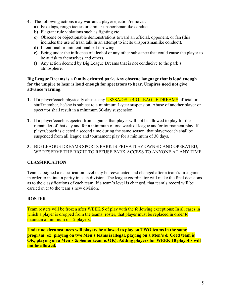- **4.** The following actions may warrant a player ejection/removal:
	- **a)** Fake tags, rough tactics or similar unsportsmanlike conduct.
	- **b)** Flagrant rule violations such as fighting etc.
	- **c)** Obscene or objectionable demonstrations toward an official, opponent, or fan (this includes the use of trash talk in an attempt to incite unsportsmanlike conduct).
	- **d)** Intentional or unintentional bat throwing.
	- **e)** Being under the influence of alcohol or any other substance that could cause the player to be at risk to themselves and others.
	- **f)** Any action deemed by Big League Dreams that is not conducive to the park's atmosphere.

#### **Big League Dreams is a family oriented park. Any obscene language that is loud enough for the umpire to hear is loud enough for spectators to hear. Umpires need not give advance warning**.

- **1.** If a player/coach physically abuses any USSSA/GSL/BIG LEAGUE DREAMS official or staff member, he/she is subject to a minimum 1-year suspension. Abuse of another player or spectator shall result in a minimum 30-day suspension.
- **2.** If a player/coach is ejected from a game, that player will not be allowed to play for the remainder of that day and for a minimum of one week of league and/or tournament play. If a player/coach is ejected a second time during the same season, that player/coach shall be suspended from all league and tournament play for a minimum of 30 days.
- **3.** BIG LEAGUE DREAMS SPORTS PARK IS PRIVATLEY OWNED AND OPERATED; WE RESERVE THE RIGHT TO REFUSE PARK ACCESS TO ANYONE AT ANY TIME.

## **CLASSIFICATION**

Teams assigned a classification level may be reevaluated and changed after a team's first game in order to maintain parity in each division. The league coordinator will make the final decisions as to the classifications of each team. If a team's level is changed, that team's record will be carried over to the team's new division.

#### **ROSTER**

Team rosters will be frozen after WEEK 5 of play with the following exceptions: In all cases in which a player is dropped from the teams' roster, that player must be replaced in order to maintain a minimum of 12 players.

**Under no circumstances will players be allowed to play on TWO teams in the same program (ex: playing on two Men's teams is illegal, playing on a Men's & Coed team is OK, playing on a Men's & Senior team is OK). Adding players for WEEK 10 playoffs will not be allowed.**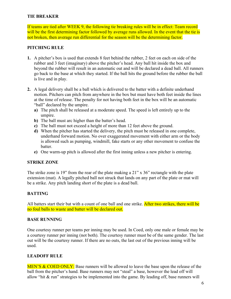#### **TIE BREAKER**

If teams are tied after WEEK 9, the following tie breaking rules will be in effect: Team record will be the first determining factor followed by average runs allowed. In the event that the tie is not broken, then average run differential for the season will be the determining factor.

#### **PITCHING RULE**

- **1.** A pitcher's box is used that extends 8 feet behind the rubber, 2 feet on each on side of the rubber and 3 feet (imaginary) above the pitcher's head. Any ball hit inside the box and beyond the rubber will result in an automatic out and will be declared a dead ball. All runners go back to the base at which they started. If the ball hits the ground before the rubber the ball is live and in play.
- **2.** A legal delivery shall be a ball which is delivered to the batter with a definite underhand motion. Pitchers can pitch from anywhere in the box but must have both feet inside the lines at the time of release. The penalty for not having both feet in the box will be an automatic "ball" declared by the umpire.
	- **a)** The pitch shall be released at a moderate speed. The speed is left entirely up to the umpire.
	- **b)** The ball must arc higher than the batter's head.
	- **c)** The ball must not exceed a height of more than 12 feet above the ground.
	- **d)** When the pitcher has started the delivery, the pitch must be released in one complete, underhand forward motion. No over exaggerated movement with either arm or the body is allowed such as pumping, windmill, fake starts or any other movement to confuse the batter.
	- **e)** One warm-up pitch is allowed after the first inning unless a new pitcher is entering.

#### **STRIKE ZONE**

The strike zone is 19" from the rear of the plate making a 21" x 36" rectangle with the plate extension (mat). A legally pitched ball not struck that lands on any part of the plate or mat will be a strike. Any pitch landing short of the plate is a dead ball.

#### **BATTING**

All batters start their bat with a count of one ball and one strike. After two strikes, there will be no foul balls to waste and batter will be declared out.

#### **BASE RUNNING**

One courtesy runner per teams per inning may be used. In Coed, only one male or female may be a courtesy runner per inning (not both). The courtesy runner must be of the same gender. The last out will be the courtesy runner. If there are no outs, the last out of the previous inning will be used.

#### **LEADOFF RULE**

MEN'S & COED ONLY: Base runners will be allowed to leave the base upon the release of the ball from the pitcher's hand. Base runners may not "steal" a base, however the lead off will allow "hit & run" strategies to be implemented into the game. By leading off, base runners will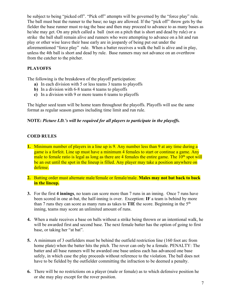be subject to being "picked off". "Pick off" attempts will be governed by the "force play" rule. The ball must beat the runner to the base; no tags are allowed. If the "pick off" throw gets by the fielder the base runner must re-tag the base and then may proceed to advance to as many bases as he/she may get. On any pitch called a ball (not on a pitch that is short and dead by rule) or a strike the ball shall remain alive and runners who were attempting to advance on a hit and run play or other wise leave their base early are in jeopardy of being put out under the aforementioned "force play" rule. When a batter receives a walk the ball is alive and in play, unless the 4th ball is short and dead by rule. Base runners may not advance on an overthrow from the catcher to the pitcher.

## **PLAYOFFS**

The following is the breakdown of the playoff participation:

- **a)** In each division with 5 or less teams 3 teams to playoffs
- **b**) In a division with 6-8 teams 4 teams to playoffs
- **c)** In a division with 9 or more teams 6 teams to playoffs

The higher seed team will be home team throughout the playoffs. Playoffs will use the same format as regular season games including time limit and run rule.

#### **NOTE:** *Picture I.D.'s will be required for all players to participate in the playoffs.*

## **COED RULES**

- **1.** Minimum number of players in a line up is 9. Any number less than 9 at any time during a game is a forfeit. Line up must have a minimum 4 females to start or continue a game. Any male to female ratio is legal as long as there are 4 females the entire game. The 10<sup>th</sup> spot will be an out until the spot in the lineup is filled. Any player may take a position anywhere on defense.
- **2.** Batting order must alternate male/female or female/male. **Males may not bat back to back in the lineup.**
- **3.** For the first **4 innings**, no team can score more than 7 runs in an inning. Once 7 runs have been scored in one at-bat, the half-inning is over. Exception: **IF** a team is behind by more than 7 runs they can score as many runs as takes to **TIE** the score. Beginning in the 5<sup>th</sup> inning, teams may score an unlimited amount of runs.
- **4.** When a male receives a base on balls without a strike being thrown or an intentional walk, he will be awarded first and second base. The next female batter has the option of going to first base, or taking her "at bat".
- **5.** A minimum of 3 outfielders must be behind the outfield restriction line (160 foot arc from home plate) when the batter hits the pitch. The rover can only be a female. PENALTY: The batter and all base runners will be awarded one base unless each has advanced one base safely, in which case the play proceeds without reference to the violation. The ball does not have to be fielded by the outfielder committing the infraction to be deemed a penalty.
- **6.** There will be no restrictions on a player (male or female) as to which defensive position he or she may play except for the rover position.